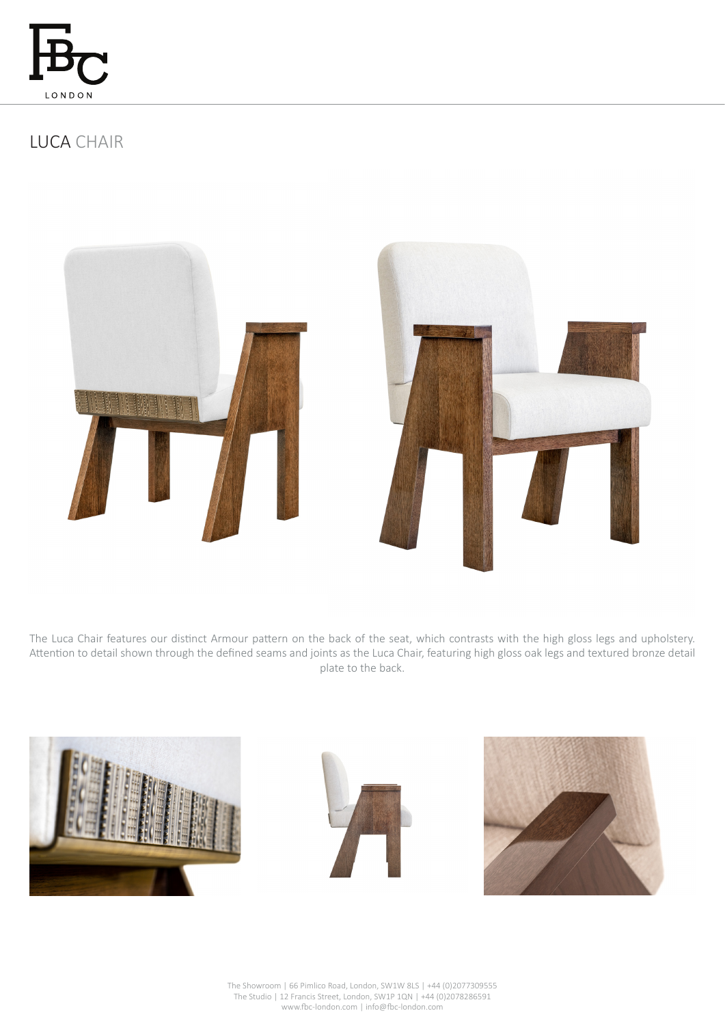

# LUCA CHAIR





The Luca Chair features our distinct Armour pattern on the back of the seat, which contrasts with the high gloss legs and upholstery. Attention to detail shown through the defined seams and joints as the Luca Chair, featuring high gloss oak legs and textured bronze detail plate to the back.